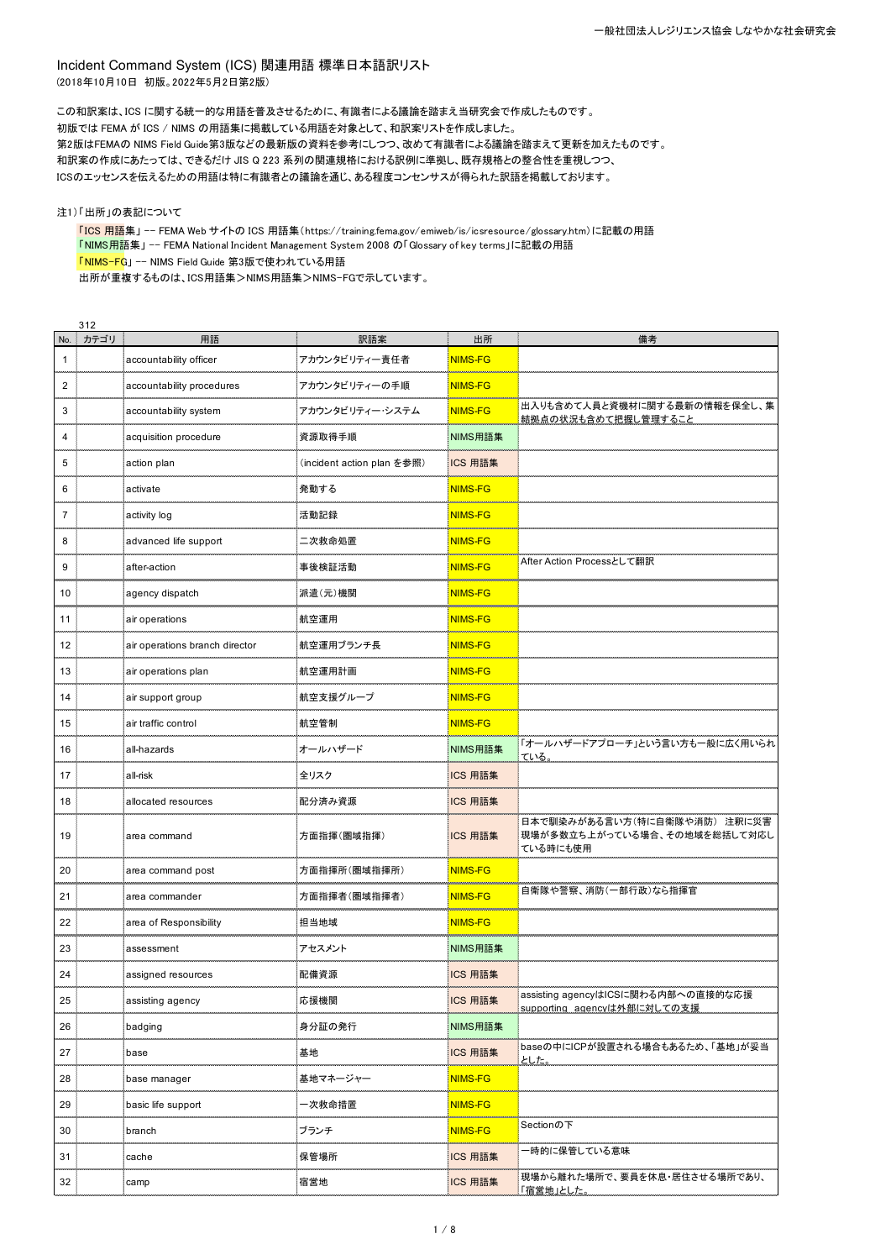Incident Command System (ICS) 関連用語 標準日本語訳リスト (2018年10月10日 初版。2022年5月2日第2版)

この和訳案は、ICS に関する統一的な用語を普及させるために、有識者による議論を踏まえ当研究会で作成したものです。 初版では FEMA が ICS / NIMS の用語集に掲載している用語を対象として、和訳案リストを作成しました。 第2版はFEMAの NIMS Field Guide第3版などの最新版の資料を参考にしつつ、改めて有識者による議論を踏まえて更新を加えたものです。 和訳案の作成にあたっては、できるだけ JIS Q 223 系列の関連規格における訳例に準拠し、既存規格との整合性を重視しつつ、 ICSのエッセンスを伝えるための用語は特に有識者との議論を通じ、ある程度コンセンサスが得られた訳語を掲載しております。

注1)「出所」の表記について

「ICS 用語集」 -- FEMA Web サイトの ICS 用語集(https://training.fema.gov/emiweb/is/icsresource/glossary.htm)に記載の用語 「NIMS用語集」 -- FEMA National Incident Management System 2008 の「Glossary of key terms」に記載の用語 「NIMS-FG」 -- NIMS Field Guide 第3版で使われている用語 出所が重複するものは、ICS用語集>NIMS用語集>NIMS-FGで示しています。

|                | 312  |                                |                            |                |                                                                         |
|----------------|------|--------------------------------|----------------------------|----------------|-------------------------------------------------------------------------|
| No.            | カテゴリ | 用語                             | 訳語案                        | 出所             | 備考                                                                      |
| $\mathbf 1$    |      | accountability officer         | アカウンタビリティー責任者              | <b>NIMS-FG</b> |                                                                         |
| $\overline{2}$ |      | accountability procedures      | アカウンタビリティーの手順              | <b>NIMS-FG</b> |                                                                         |
| 3              |      | accountability system          | アカウンタビリティー・システム            | <b>NIMS-FG</b> | 出入りも含めて人員と資機材に関する最新の情報を保全し、集<br>結拠点の状況も含めて把握し管理すること                     |
| 4              |      | acquisition procedure          | 資源取得手順                     | NIMS用語集        |                                                                         |
| 5              |      | action plan                    | (incident action plan を参照) | ICS 用語集        |                                                                         |
| 6              |      | activate                       | 発動する                       | NIMS-FG        |                                                                         |
| $\overline{7}$ |      | activity log                   | 活動記録                       | <b>NIMS-FG</b> |                                                                         |
| 8              |      | advanced life support          | 二次救命処置                     | <b>NIMS-FG</b> |                                                                         |
| 9              |      | after-action                   | 事後検証活動                     | <b>NIMS-FG</b> | After Action Processとして翻訳                                               |
| 10             |      | agency dispatch                | 派遣(元)機関                    | <b>NIMS-FG</b> |                                                                         |
| 11             |      | air operations                 | 航空運用                       | <b>NIMS-FG</b> |                                                                         |
| 12             |      | air operations branch director | 航空運用ブランチ長                  | NIMS-FG        |                                                                         |
| 13             |      | air operations plan            | 航空運用計画                     | <b>NIMS-FG</b> |                                                                         |
| 14             |      | air support group              | 航空支援グループ                   | <b>NIMS-FG</b> |                                                                         |
| 15             |      | air traffic control            | 航空管制                       | NIMS-FG        |                                                                         |
| 16             |      | all-hazards                    | オールハザード                    | NIMS用語集        | 「オールハザードアプローチ」という言い方も一般に広く用いられ<br>ている。                                  |
| 17             |      | all-risk                       | 全リスク                       | ICS 用語集        |                                                                         |
| 18             |      | allocated resources            | 配分済み資源                     | ICS 用語集        |                                                                         |
| 19             |      | area command                   | 方面指揮(圏域指揮)                 | ICS 用語集        | 日本で馴染みがある言い方(特に自衛隊や消防)注釈に災害<br>現場が多数立ち上がっている場合、その地域を総括して対応し<br>ている時にも使用 |
| 20             |      | area command post              | 方面指揮所(圏域指揮所)               | <b>NIMS-FG</b> |                                                                         |
| 21             |      | area commander                 | 方面指揮者(圏域指揮者)               | <b>NIMS-FG</b> | 自衛隊や警察、消防(一部行政)なら指揮官                                                    |
| 22             |      | area of Responsibility         | 担当地域                       | <b>NIMS-FG</b> |                                                                         |
| 23             |      | assessment                     | アセスメント                     | NIMS用語集        |                                                                         |
| 24             |      | assigned resources             | 配備資源                       | ICS 用語集        |                                                                         |
| 25             |      | assisting agency               | 応援機関                       | ICS 用語集        | assisting agencyはICSに関わる内部への直接的な応援<br>supporting agencyは外部に対しての支援       |
| 26             |      | badging                        | 身分証の発行                     | NIMS用語集        |                                                                         |
| 27             |      | base                           | 基地                         | ICS 用語集        | baseの中にICPが設置される場合もあるため、「基地」が妥当<br>とした。                                 |
| 28             |      | base manager                   | 基地マネージャー                   | <b>NIMS-FG</b> |                                                                         |
| 29             |      | basic life support             | 一次救命措置                     | <b>NIMS-FG</b> |                                                                         |
| 30             |      | branch                         | ブランチ                       | <b>NIMS-FG</b> | Sectionの下                                                               |
| 31             |      | cache                          | 保管場所                       | ICS 用語集        | -時的に保管している意味                                                            |
| 32             |      | camp                           | 宿営地                        | ICS 用語集        | :現場から離れた場所で、要員を休息・居住させる場所であり、<br>「宿営地」とした。                              |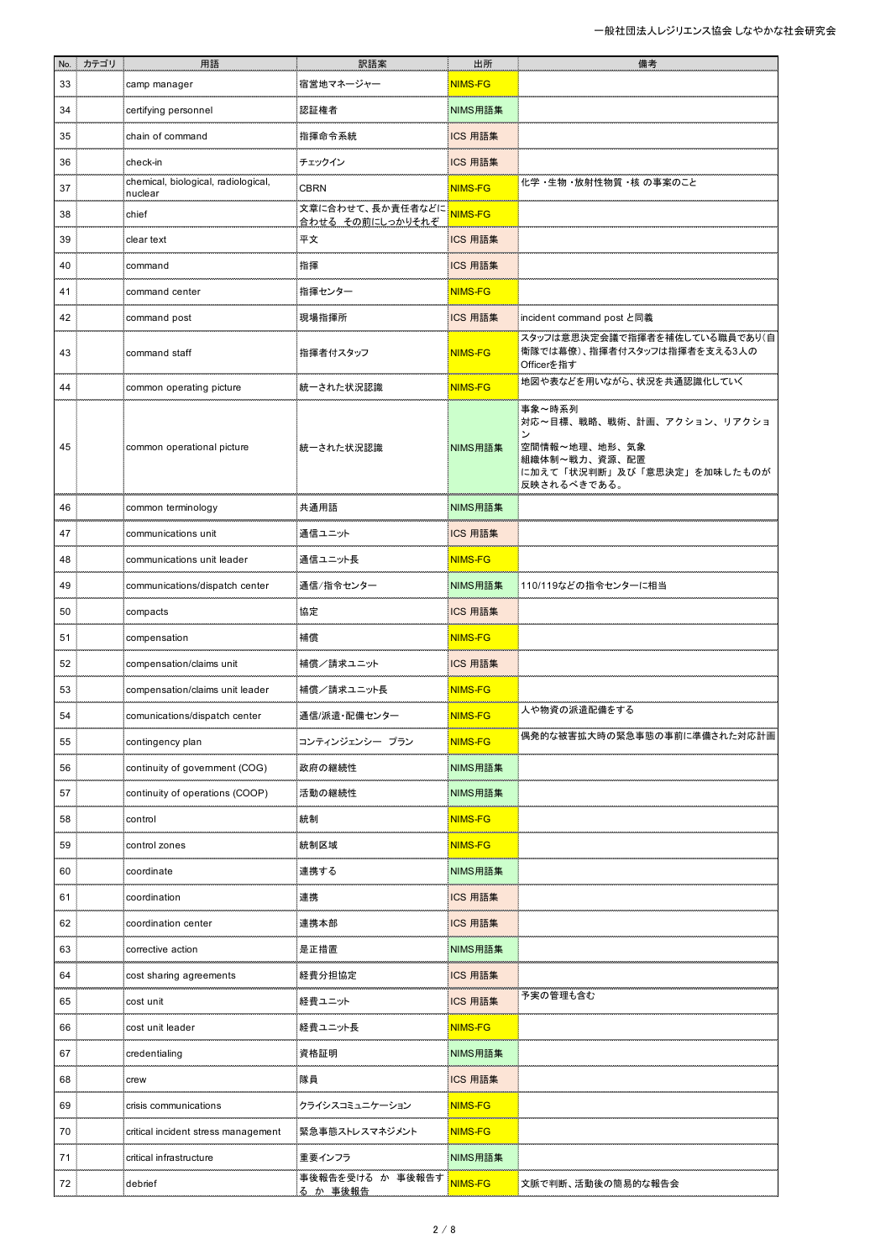|    | No. カテゴリ | 用語                                             | 訳語案                                  | 出所             | 備考                                                                                                                  |
|----|----------|------------------------------------------------|--------------------------------------|----------------|---------------------------------------------------------------------------------------------------------------------|
| 33 |          | camp manager                                   | 宿営地マネージャー                            | <b>NIMS-FG</b> |                                                                                                                     |
| 34 |          | certifying personnel                           | 認証権者                                 | NIMS用語集        |                                                                                                                     |
| 35 |          | chain of command                               | 指揮命令系統                               | ICS 用語集        |                                                                                                                     |
| 36 |          | check-in                                       | チェックイン                               | ICS 用語集        |                                                                                                                     |
| 37 |          | chemical, biological, radiological,<br>nuclear | <b>CBRN</b>                          | <b>NIMS-FG</b> | 化学 ·生物 ·放射性物質 ·核 の事案のこと                                                                                             |
| 38 |          | chief                                          | 文章に合わせて、長か責任者などに<br>合わせる その前にしっかりそれぞ | <b>NIMS-FG</b> |                                                                                                                     |
| 39 |          | clear text                                     | 平文                                   | ICS 用語集        |                                                                                                                     |
| 40 |          | command                                        | 指揮                                   | ICS 用語集        |                                                                                                                     |
| 41 |          | command center                                 | 指揮センター                               | <b>NIMS-FG</b> |                                                                                                                     |
| 42 |          | command post                                   | 現場指揮所                                | ICS 用語集        | incident command post と同義                                                                                           |
| 43 |          | command staff                                  | 指揮者付スタッフ                             | <b>NIMS-FG</b> | スタッフは意思決定会議で指揮者を補佐している職員であり(自<br>衛隊では幕僚)、指揮者付スタッフは指揮者を支える3人の<br>Officerを指す                                          |
| 44 |          | common operating picture                       | 統一された状況認識                            | NIMS-FG        | 地図や表などを用いながら、状況を共通認識化していく                                                                                           |
| 45 |          | common operational picture                     | 統一された状況認識                            | NIMS用語集        | 事象~時系列<br>対応~目標、戦略、戦術、計画、アクション、リアクショ<br>空間情報~地理、地形、気象<br>組織体制~戦力、資源、配置<br>に加えて「状況判断」及び「意思決定」を加味したものが<br>反映されるべきである。 |
| 46 |          | common terminology                             | 共通用語                                 | NIMS用語集        |                                                                                                                     |
| 47 |          | communications unit                            | 通信ユニット                               | ICS 用語集        |                                                                                                                     |
| 48 |          | communications unit leader                     | 通信ユニット長                              | <b>NIMS-FG</b> |                                                                                                                     |
| 49 |          | communications/dispatch center                 | 通信/指令センター                            | NIMS用語集        | 110/119などの指令センターに相当                                                                                                 |
| 50 |          | compacts                                       | 協定                                   | ICS 用語集        |                                                                                                                     |
| 51 |          | compensation                                   | 補償                                   | NIMS-FG        |                                                                                                                     |
| 52 |          | compensation/claims unit                       | 補償/請求ユニット                            | ICS 用語集        |                                                                                                                     |
| 53 |          | compensation/claims unit leader                | 補償/請求ユニット長                           | <b>NIMS-FG</b> |                                                                                                                     |
| 54 |          | comunications/dispatch center                  | 通信/派遣・配備センター                         | <b>NIMS-FG</b> | 人や物資の派遣配備をする                                                                                                        |
| 55 |          | contingency plan                               | コンティンジェンシー プラン                       | NIMS-FG        | 偶発的な被害拡大時の緊急事態の事前に準備された対応計画                                                                                         |
| 56 |          | continuity of government (COG)                 | 政府の継続性                               | NIMS用語集        |                                                                                                                     |
| 57 |          | continuity of operations (COOP)                | 活動の継続性                               | NIMS用語集        |                                                                                                                     |
| 58 |          | control                                        | 統制                                   | <b>NIMS-FG</b> |                                                                                                                     |
| 59 |          | control zones                                  | 統制区域                                 | NIMS-FG        |                                                                                                                     |
| 60 |          | coordinate                                     | 連携する                                 | NIMS用語集        |                                                                                                                     |
| 61 |          | coordination                                   | 連携                                   | ICS 用語集        |                                                                                                                     |
| 62 |          | coordination center                            | 連携本部                                 | ICS 用語集        |                                                                                                                     |
| 63 |          | corrective action                              | 是正措置                                 | NIMS用語集        |                                                                                                                     |
| 64 |          | cost sharing agreements                        | 経費分担協定                               | ICS 用語集        |                                                                                                                     |
| 65 |          | cost unit                                      | 経費ユニット                               | ICS 用語集        | 予実の管理も含む                                                                                                            |
| 66 |          | cost unit leade                                | 経費ユニット長                              | <b>NIMS-FG</b> |                                                                                                                     |
| 67 |          | credentialing                                  | 資格証明                                 | NIMS用語集        |                                                                                                                     |
| 68 |          | crew                                           | 隊員                                   | ICS 用語集        |                                                                                                                     |
| 69 |          | crisis communications                          | クライシスコミュニケーション                       | <b>NIMS-FG</b> |                                                                                                                     |
| 70 |          | critical incident stress management            | 緊急事態ストレスマネジメント                       | <b>NIMS-FG</b> |                                                                                                                     |
| 71 |          | critical infrastructure                        | 重要インフラ                               | NIMS用語集        |                                                                                                                     |
| 72 |          | debrief                                        | 事後報告を受ける か 事後報告す<br>る か 事後報告         | NIMS-FG        | 文脈で判断、活動後の簡易的な報告会                                                                                                   |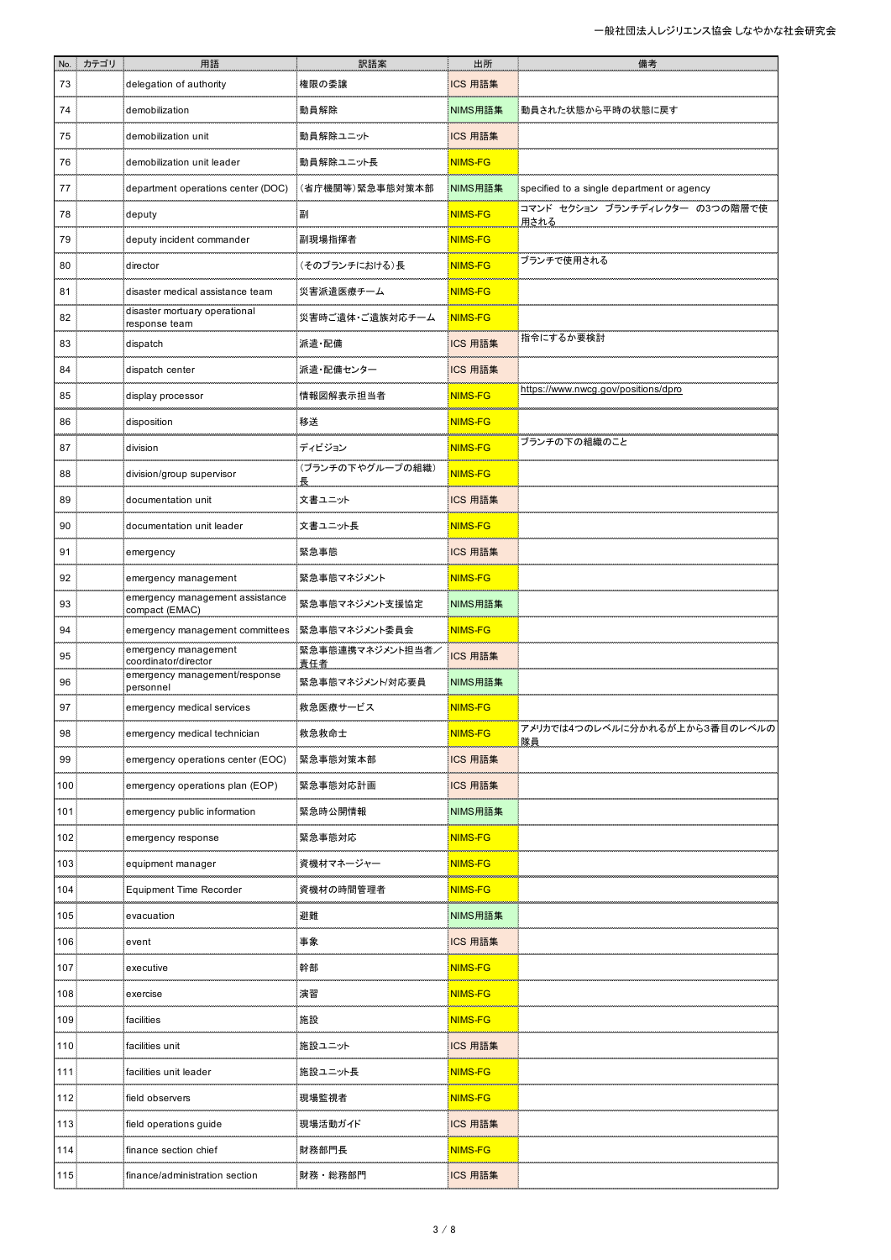| No.              | … カテゴリ | 用語                                                | 訳語案                     | 出所             | 備考                                         |
|------------------|--------|---------------------------------------------------|-------------------------|----------------|--------------------------------------------|
| 73               |        | delegation of authority                           | 権限の委譲                   | ICS 用語集        |                                            |
| 74               |        | demobilization                                    | 動員解除                    | NIMS用語集        | 動員された状態から平時の状態に戻す                          |
| 75               |        | demobilization unit                               | 動員解除ユニット                | ICS 用語集        |                                            |
| 76               |        | demobilization unit leader                        | 動員解除ユニット長               | NIMS-FG        |                                            |
| 77               |        | department operations center (DOC)                | (省庁機関等)緊急事態対策本部         | NIMS用語集        | specified to a single department or agency |
| 78               |        | deputy                                            | 副                       | NIMS-FG        | コマンド セクション ブランチディレクター の3つの階層で使<br>用される     |
| 79               |        | deputy incident commander                         | 副現場指揮者                  | <b>NIMS-FG</b> |                                            |
| 80               |        | director                                          | (そのブランチにおける)長           | NIMS-FG        | ブランチで使用される                                 |
| 81               |        | disaster medical assistance team                  | 災害派遣医療チーム               | <b>NIMS-FG</b> |                                            |
| 82               |        | disaster mortuary operational<br>response team    | 災害時ご遺体・ご遺族対応チーム         | <b>NIMS-FG</b> |                                            |
| 83               |        | dispatch                                          | 派遣 配備                   | ICS 用語集        | 指令にするか要検討                                  |
| 84               |        | dispatch center                                   | 派遣・配備センター               | ICS 用語集        |                                            |
| 85               |        | display processor                                 | 情報図解表示担当者               | <b>NIMS-FG</b> | https://www.nwcg.gov/positions/dpro        |
| 86               |        | disposition                                       | 移送                      | <b>NIMS-FG</b> |                                            |
| 87               |        | division                                          | ディビジョン                  | NIMS-FG        | ブランチの下の組織のこと                               |
| 88               |        | division/group supervisor                         | (ブランチの下やグループの組織)        | <b>NIMS-FG</b> |                                            |
| 89               |        | documentation unit                                | 文書ユニット                  | ICS 用語集        |                                            |
| 90               |        | documentation unit leader                         | 文書ユニット長                 | NIMS-FG        |                                            |
| 91               |        | emergency                                         | 緊急事態                    | ICS 用語集        |                                            |
| 92               |        | emergency management                              | 緊急事態マネジメント              | <b>NIMS-FG</b> |                                            |
| 93               |        | emergency management assistance<br>compact (EMAC) | 緊急事態マネジメント支援協定          | NIMS用語集        |                                            |
| 94               |        | emergency management committees                   | 緊急事態マネジメント委員会           | <b>NIMS-FG</b> |                                            |
| 95               |        | emergency management<br>coordinator/director      | 緊急事態連携マネジメント担当者/<br>責任者 | ICS 用語集        |                                            |
| 96               |        | emergency management/response<br>personnel        | 緊急事態マネジメント/対応要員         | NIMS用語集        |                                            |
| 97               |        | emergency medical services                        | 救急医療サービス                | <b>NIMS-FG</b> |                                            |
| 98               |        | emergency medical technician                      | 救急救命士                   | NIMS-FG        | アメリカでは4つのレベルに分かれるが上から3番目のレベルの<br>隊員        |
| 99               |        | emergency operations center (EOC)                 | 緊急事態対策本部                | ICS 用語集        |                                            |
| 100              |        | emergency operations plan (EOP)                   | 緊急事態対応計画                | ICS 用語集        |                                            |
| 101              |        | emergency public information                      | 緊急時公開情報                 | NIMS用語集        |                                            |
| 102 <sub>1</sub> |        | emergency response                                | 緊急事態対応                  | <b>NIMS-FG</b> |                                            |
| 103              |        | equipment manager                                 | 資機材マネージャー               | <b>NIMS-FG</b> |                                            |
| 104.             |        | <b>Equipment Time Recorder</b>                    | 資機材の時間管理者               | <b>NIMS-FG</b> |                                            |
| 105              |        | evacuation                                        | 避難                      | NIMS用語集        |                                            |
| 106              |        | event                                             | 事象                      | ICS 用語集        |                                            |
| 107              |        | executive                                         | 幹部                      | <b>NIMS-FG</b> |                                            |
| 108              |        | exercise                                          | 演習                      | <b>NIMS-FG</b> |                                            |
| 109              |        | facilities                                        | 施設                      | <b>NIMS-FG</b> |                                            |
| 110              |        | facilities unit                                   | 施設ユニット                  | ICS 用語集        |                                            |
| 111              |        | facilities unit leader                            | 施設ユニット長                 | <b>NIMS-FG</b> |                                            |
| 112.             |        | field observers                                   | 現場監視者                   | <b>NIMS-FG</b> |                                            |
| 113.             |        | field operations guide                            | 現場活動ガイド                 | ICS 用語集        |                                            |
| 114.             |        | finance section chief                             | 財務部門長                   | <b>NIMS-FG</b> |                                            |
| 115              |        | finance/administration section                    | 財務・総務部門                 | ICS 用語集        |                                            |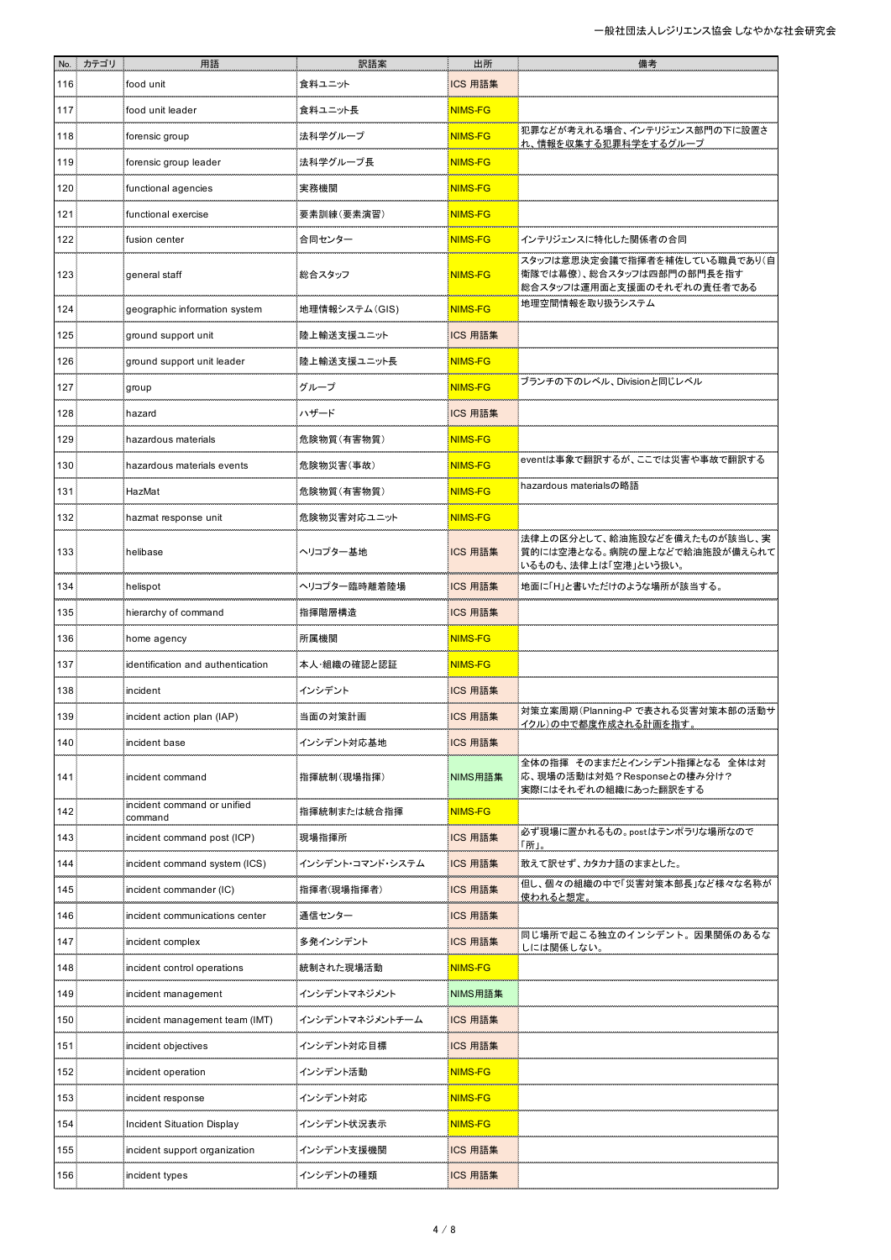|                  | No. カテゴリ | 用語                                     | 訳語案              | 出所             | 備考                                                                                        |
|------------------|----------|----------------------------------------|------------------|----------------|-------------------------------------------------------------------------------------------|
| 116              |          | food unit                              | 食料ユニット           | ICS 用語集        |                                                                                           |
| 117              |          | food unit leader                       | 食料ユニット長          | NIMS-FG        |                                                                                           |
| 118              |          | forensic group                         | 法科学グループ          | <b>NIMS-FG</b> | 犯罪などが考えれる場合、インテリジェンス部門の下に設置さ<br>れ、情報を収集する犯罪科学をするグループ                                      |
| 119              |          | forensic group leader                  | 法科学グループ長         | <b>NIMS-FG</b> |                                                                                           |
| 120              |          | functional agencies                    | 実務機関             | <b>NIMS-FG</b> |                                                                                           |
| 121              |          | functional exercise                    | 要素訓練(要素演習)       | <b>NIMS-FG</b> |                                                                                           |
| 122              |          | fusion center                          | 合同センター           | <b>NIMS-FG</b> | 「インテリジェンスに特化した関係者の合同                                                                      |
| 123.             |          | general staff                          | 総合スタッフ           | <b>NIMS-FG</b> | スタッフは意思決定会議で指揮者を補佐している職員であり(自<br> 衛隊では幕僚)、総合スタッフは四部門の部門長を指す<br>総合スタッフは運用面と支援面のそれぞれの責任者である |
| 124              |          | geographic information system          | 地理情報システム(GIS)    | <b>NIMS-FG</b> | 地理空間情報を取り扱うシステム                                                                           |
| 125              |          | ground support unit                    | 陸上輸送支援ユニット       | ICS 用語集        |                                                                                           |
| 126              |          | ground support unit leader             | 陸上輸送支援ユニット長      | <b>NIMS-FG</b> |                                                                                           |
| 127              |          | group                                  | グループ             | NIMS-FG        | ブランチの下のレベル、Divisionと同じレベル                                                                 |
| 128              |          | hazard                                 | ハザード             | ICS 用語集        |                                                                                           |
| 129              |          | hazardous materials                    | 危険物質(有害物質)       | <b>NIMS-FG</b> |                                                                                           |
| 130              |          | hazardous materials events             | 危険物災害(事故)        | <b>NIMS-FG</b> | eventは事象で翻訳するが、ここでは災害や事故で翻訳する                                                             |
| 131              |          | HazMat                                 | 危険物質(有害物質)       | NIMS-FG        | hazardous materialsの略語                                                                    |
| 132              |          | hazmat response unit                   | 危険物災害対応ユニット      | <b>NIMS-FG</b> |                                                                                           |
| 133              |          | helibase                               | ヘリコプター基地         | ICS 用語集        | 法律上の区分として、給油施設などを備えたものが該当し、実<br>質的には空港となる。病院の屋上などで給油施設が備えられて<br>いるものも、法律上は「空港」という扱い。      |
| 134              |          | helispot                               | ヘリコプター臨時離着陸場     | ICS 用語集        | i地面に「H」と書いただけのような場所が該当する。                                                                 |
| 135              |          | hierarchy of command                   | 指揮階層構造           | ICS 用語集        |                                                                                           |
| 136              |          | home agency                            | 所属機関             | <b>NIMS-FG</b> |                                                                                           |
| 137              |          | identification and authentication      | 本人・組織の確認と認証      | <b>NIMS-FG</b> |                                                                                           |
| 138              |          | incident                               | インシデント           | ICS 用語集        |                                                                                           |
| 139              |          | incident action plan (IAP)             | 当面の対策計画          | ICS 用語集        | 対策立案周期(Planning-P で表される災害対策本部の活動サ<br>イクル)の中で都度作成される計画を指す。                                 |
| 140              |          | incident base                          | インシデント対応基地       | ICS 用語集        |                                                                                           |
| 141              |          | incident command                       | 指揮統制(現場指揮)       | NIMS用語集        | 全体の指揮 そのままだとインシデント指揮となる 全体は対<br>流、現場の活動は対処?Responseとの棲み分け?<br>実際にはそれぞれの組織にあった翻訳をする        |
| 142 <sup>°</sup> |          | incident command or unified<br>command | 指揮統制または統合指揮      | <b>NIMS-FG</b> |                                                                                           |
| 143              |          | incident command post (ICP)            | 現場指揮所            | ICS 用語集        | 必ず現場に置かれるもの。postはテンポラリな場所なので<br>「所」                                                       |
| 144              |          | incident command system (ICS)          | インシデント・コマンド・システム | ICS 用語集        | 教えて訳せず、カタカナ語のままとした。                                                                       |
| 145              |          | incident commander (IC)                | 指揮者(現場指揮者)       | ICS 用語集        | 但し、個々の組織の中で「災害対策本部長」など様々な名称が<br>使われると想定。                                                  |
| 146              |          | incident communications center         | 通信センター           | ICS 用語集        |                                                                                           |
| 147              |          | incident complex                       | 多発インシデント         | ICS 用語集        | 同じ場所で起こる独立のインシデント。因果関係のあるな<br>しには関係しない。                                                   |
| 148              |          | incident control operations            | 統制された現場活動        | <b>NIMS-FG</b> |                                                                                           |
| 149              |          | incident management                    | インシデントマネジメント     | NIMS用語集        |                                                                                           |
| 150.             |          | incident management team (IMT)         | インシデントマネジメントチーム  | ICS 用語集        |                                                                                           |
| 151              |          | incident objectives                    | インシデント対応目標       | ICS 用語集        |                                                                                           |
| 152              |          | incident operation                     | インシデント活動         | <b>NIMS-FG</b> |                                                                                           |
| 153              |          | incident response                      | インシデント対応         | <b>NIMS-FG</b> |                                                                                           |
| 154              |          | <b>Incident Situation Display</b>      | インシデント状況表示       | <b>NIMS-FG</b> |                                                                                           |
| 155              |          | incident support organization          | インシデント支援機関       | ICS 用語集        |                                                                                           |
| 156              |          | incident types                         | インシデントの種類        | ICS 用語集        |                                                                                           |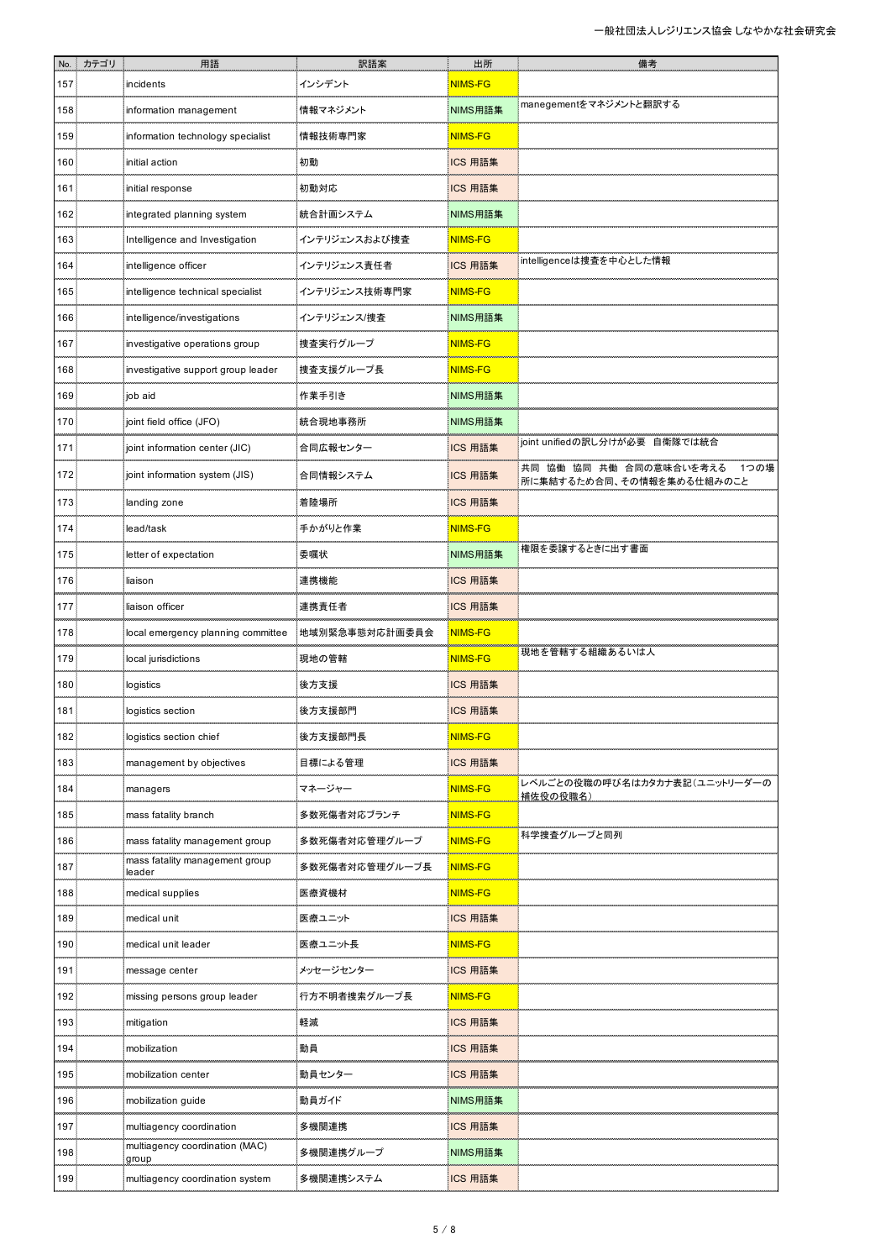|      | No. カテゴリ | 用語                                       | 訳語案            | 出所             | 備考                                                           |
|------|----------|------------------------------------------|----------------|----------------|--------------------------------------------------------------|
| 157. |          | incidents                                | インシデント         | NIMS-FG        |                                                              |
| 158  |          | information management                   | 情報マネジメント       | NIMS用語集        | manegementをマネジメントと翻訳する                                       |
| 159. |          | information technology specialist        | 情報技術専門家        | <b>NIMS-FG</b> |                                                              |
| 160  |          | initial action                           | 初動             | ICS 用語集        |                                                              |
| 161  |          | initial response                         | 初動対応           | ICS 用語集        |                                                              |
| 162. |          | integrated planning system               | 統合計画システム       | NIMS用語集        |                                                              |
| 163  |          | Intelligence and Investigation           | インテリジェンスおよび捜査  | <b>NIMS-FG</b> |                                                              |
| 164  |          | intelligence officer                     | インテリジェンス責任者    | ICS 用語集        | intelligenceは捜査を中心とした情報                                      |
| 165  |          | intelligence technical specialist        | インテリジェンス技術専門家  | <b>NIMS-FG</b> |                                                              |
| 166  |          | intelligence/investigations              | インテリジェンス/捜査    | NIMS用語集        |                                                              |
| 167  |          | investigative operations group           | 捜査実行グループ       | <b>NIMS-FG</b> |                                                              |
| 168  |          | investigative support group leader       | 捜査支援グループ長      | <b>NIMS-FG</b> |                                                              |
| 169  |          | job aid                                  | 作業手引き          | NIMS用語集        |                                                              |
| 170  |          | joint field office (JFO)                 | 統合現地事務所        | NIMS用語集        |                                                              |
| 171  |          | joint information center (JIC)           | 合同広報センター       | ICS 用語集        | joint unifiedの訳し分けが必要 自衛隊では統合                                |
| 172  |          | joint information system (JIS)           | 合同情報システム       | ICS 用語集        | 共同 協働 協同 共働 合同の意味合いを考える<br>1つの場<br>所に集結するため合同、その情報を集める仕組みのこと |
| 173. |          | landing zone                             | 着陸場所           | ICS 用語集        |                                                              |
| 174  |          | lead/task                                | 手かがりと作業        | NIMS-FG        |                                                              |
| 175  |          | letter of expectation                    | 委嘱状            | NIMS用語集        | 権限を委譲するときに出す書面                                               |
| 176  |          | liaison                                  | 連携機能           | ICS 用語集        |                                                              |
| 177  |          | liaison officer                          | 連携責任者          | ICS 用語集        |                                                              |
| 178  |          | local emergency planning committee       | 地域別緊急事態対応計画委員会 | NIMS-FG        |                                                              |
| 179  |          | local jurisdictions                      | 現地の管轄          | <b>NIMS-FG</b> | 現地を管轄する組織あるいは人                                               |
| 180  |          | logistics                                | 後方支援           | ICS 用語集        |                                                              |
| 181  |          | logistics section                        | 後方支援部門         | ICS 用語集        |                                                              |
| 182. |          | logistics section chief                  | 後方支援部門長        | <b>NIMS-FG</b> |                                                              |
| 183  |          | management by objectives                 | 目標による管理        | ICS 用語集        |                                                              |
| 184  |          | managers                                 | マネージャー         | <b>NIMS-FG</b> | レベルごとの役職の呼び名はカタカナ表記(ユニットリーダーの<br>補佐役の役職名)                    |
| 185  |          | mass fatality branch                     | 多数死傷者対応ブランチ    | <b>NIMS-FG</b> |                                                              |
| 186  |          | mass fatality management group           | 多数死傷者対応管理グループ  | NIMS-FG        | 科学捜査グループと同列                                                  |
| 187  |          | mass fatality management group<br>leader | 多数死傷者対応管理グループ長 | <b>NIMS-FG</b> |                                                              |
| 188  |          | medical supplies                         | 医療資機材          | NIMS-FG        |                                                              |
| 189  |          | medical unit                             | 医療ユニット         | ICS 用語集        |                                                              |
| 190  |          | medical unit leader                      | 医療ユニット長        | <b>NIMS-FG</b> |                                                              |
| 191  |          | message center                           | メッセージセンター      | ICS 用語集        |                                                              |
| 192  |          | missing persons group leader             | 行方不明者捜索グループ長   | NIMS-FG        |                                                              |
| 193  |          | mitigation                               | 軽減             | ICS 用語集        |                                                              |
| 194  |          | mobilization                             | 動員             | ICS 用語集        |                                                              |
| 195  |          | mobilization center                      | 動員センター         | ICS 用語集        |                                                              |
| 196  |          | mobilization guide                       | 動員ガイド          | NIMS用語集        |                                                              |
| 197  |          | multiagency coordination                 | 多機関連携          | ICS 用語集        |                                                              |
| 198  |          | multiagency coordination (MAC)<br>group  | 多機関連携グループ      | NIMS用語集        |                                                              |
| 199  |          | multiagency coordination system          | 多機関連携システム      | ICS 用語集        |                                                              |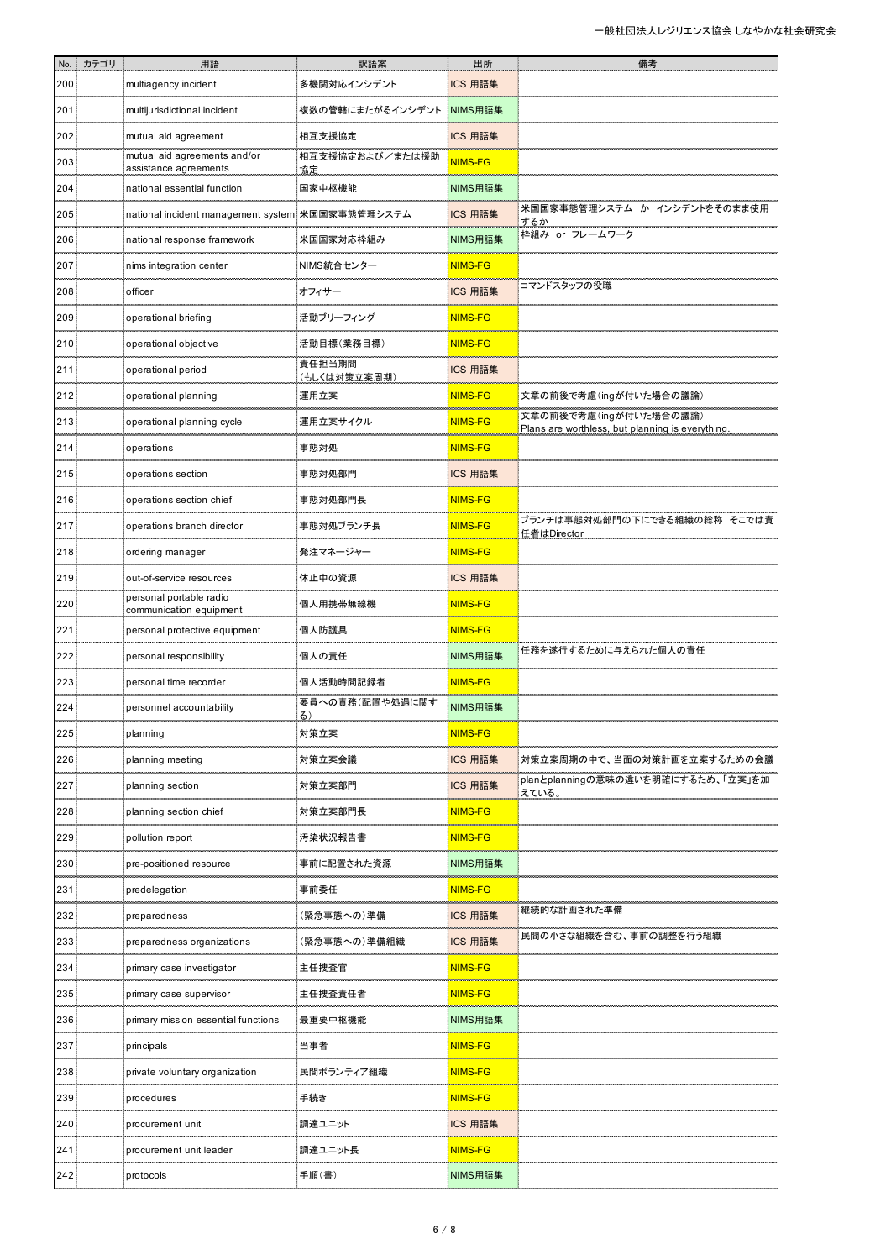| No.  | カテゴリ | 用語                                                    | 訳語案                    | 出所             | 備考                                                                         |
|------|------|-------------------------------------------------------|------------------------|----------------|----------------------------------------------------------------------------|
| 200  |      | multiagency incident                                  | 多機関対応インシデント            | ICS 用語集        |                                                                            |
| 201  |      | multijurisdictional incident                          | 複数の管轄にまたがるインシデント       | NIMS用語集        |                                                                            |
| 202  |      | mutual aid agreement                                  | 相互支援協定                 | ICS 用語集        |                                                                            |
| 203  |      | mutual aid agreements and/or<br>assistance agreements | 相互支援協定および/または援助<br>協定  | <b>NIMS-FG</b> |                                                                            |
| 204  |      | national essential function                           | 国家中枢機能                 | NIMS用語集        |                                                                            |
| 205  |      | national incident management system 米国国家事態管理システム      |                        | ICS 用語集        | 米国国家事態管理システム か インシデントをそのまま使用<br>するか                                        |
| 206  |      | national response framework                           | 米国国家対応枠組み              | NIMS用語集        | 枠組み or フレームワーク                                                             |
| 207  |      | nims integration center                               | NIMS統合センター             | <b>NIMS-FG</b> |                                                                            |
| 208  |      | officer                                               | オフィサー                  | ICS 用語集        | コマンドスタッフの役職                                                                |
| 209  |      | operational briefing                                  | 活動ブリーフィング              | <b>NIMS-FG</b> |                                                                            |
| 210  |      | operational objective                                 | 活動目標(業務目標)             | <b>NIMS-FG</b> |                                                                            |
| 211  |      | operational period                                    | 責任担当期間<br>(もしくは対策立案周期) | ICS 用語集        |                                                                            |
| 212  |      | operational planning                                  | 運用立案                   | <b>NIMS-FG</b> | 文章の前後で考慮(ingが付いた場合の議論)                                                     |
| 213  |      | operational planning cycle                            | 運用立案サイクル               | <b>NIMS-FG</b> | 文章の前後で考慮(ingが付いた場合の議論)<br>Plans are worthless, but planning is everything. |
| 214  |      | operations                                            | 事態対処                   | <b>NIMS-FG</b> |                                                                            |
| 215  |      | operations section                                    | 事態対処部門                 | ICS 用語集        |                                                                            |
| 216  |      | operations section chief                              | 事態対処部門長                | <b>NIMS-FG</b> |                                                                            |
| 217  |      | operations branch director                            | 事態対処ブランチ長              | <b>NIMS-FG</b> | ブランチは事態対処部門の下にできる組織の総称 そこでは責<br>任者はDirector                                |
| 218: |      | ordering manager                                      | 発注マネージャー               | <b>NIMS-FG</b> |                                                                            |
| 219  |      | out-of-service resources                              | 休止中の資源                 | ICS 用語集        |                                                                            |
| 220  |      | personal portable radio<br>communication equipment    | 個人用携帯無線機               | <b>NIMS-FG</b> |                                                                            |
| 221  |      | personal protective equipment                         | 個人防護具                  | <b>NIMS-FG</b> |                                                                            |
| 222  |      | personal responsibility                               | 個人の責任                  | NIMS用語集        | 任務を遂行するために与えられた個人の責任                                                       |
| 223  |      | personal time recorder                                | 個人活動時間記録者              | <b>NIMS-FG</b> |                                                                            |
| 224  |      | personnel accountability                              | 要員への責務(配置や処遇に関す        | NIMS用語集        |                                                                            |
| 225  |      | planning                                              | 対策立案                   | <b>NIMS-FG</b> |                                                                            |
| 226  |      | planning meeting                                      | 対策立案会議                 | ICS 用語集        | 対策立案周期の中で、当面の対策計画を立案するための会議                                                |
| 227  |      | planning section                                      | 対策立案部門                 | ICS 用語集        | planとplanningの意味の違いを明確にするため、「立案」を加<br>えている。                                |
| 228  |      | planning section chief                                | 対策立案部門長                | <b>NIMS-FG</b> |                                                                            |
| 229  |      | pollution report                                      | 汚染状況報告書                | <b>NIMS-FG</b> |                                                                            |
| 230  |      | pre-positioned resource                               | 事前に配置された資源             | NIMS用語集        |                                                                            |
| 231  |      | predelegation                                         | 事前委任                   | <b>NIMS-FG</b> |                                                                            |
| 232  |      | preparedness                                          | (緊急事態への)準備             | ICS 用語集        | 継続的な計画された準備                                                                |
| 233  |      | preparedness organizations                            | (緊急事態への)準備組織           | ICS 用語集        | 民間の小さな組織を含む、事前の調整を行う組織                                                     |
| 234  |      | primary case investigator                             | 主任捜査官                  | <b>NIMS-FG</b> |                                                                            |
| 235  |      | primary case supervisor                               | 主任捜査責任者                | <b>NIMS-FG</b> |                                                                            |
| 236  |      | primary mission essential functions                   | 最重要中枢機能                | NIMS用語集        |                                                                            |
| 237  |      | principals                                            | 当事者                    | <b>NIMS-FG</b> |                                                                            |
| 238  |      | private voluntary organization                        | 民間ボランティア組織             | <b>NIMS-FG</b> |                                                                            |
| 239  |      | procedures                                            | 手続き                    | <b>NIMS-FG</b> |                                                                            |
| 240  |      | procurement unit                                      | 調達ユニット                 | ICS 用語集        |                                                                            |
| 241  |      | procurement unit leader                               | 調達ユニット長                | <b>NIMS-FG</b> |                                                                            |
| 242: |      | protocols                                             | 手順(書)                  | NIMS用語集        |                                                                            |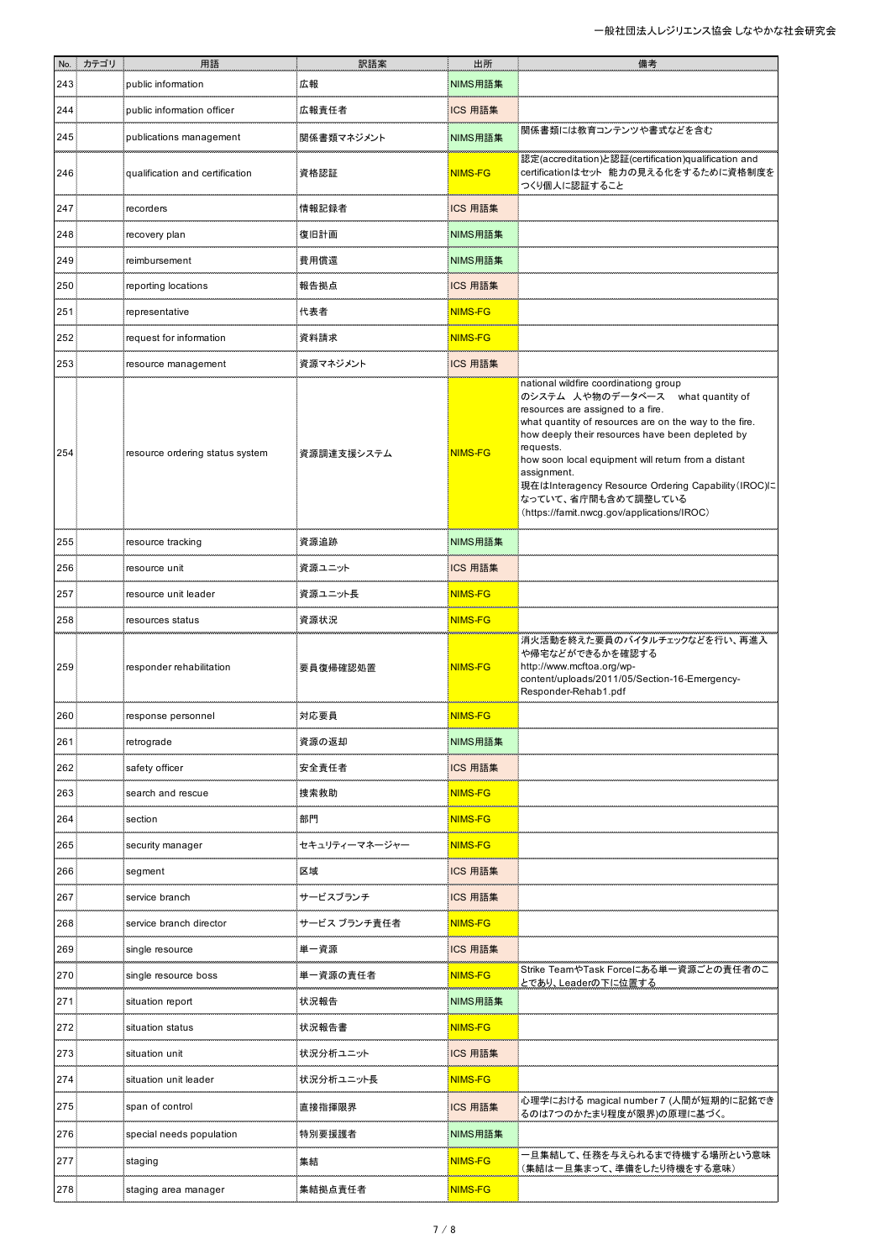|     | No. カテゴリ | 用語                              | 訳語案           | 出所             | 備考                                                                                                                                                                                                                                                                                                                                                                                                                                           |
|-----|----------|---------------------------------|---------------|----------------|----------------------------------------------------------------------------------------------------------------------------------------------------------------------------------------------------------------------------------------------------------------------------------------------------------------------------------------------------------------------------------------------------------------------------------------------|
| 243 |          | public information              | 広報            | NIMS用語集        |                                                                                                                                                                                                                                                                                                                                                                                                                                              |
| 244 |          | public information officer      | 広報責任者         | ICS 用語集        |                                                                                                                                                                                                                                                                                                                                                                                                                                              |
| 245 |          | publications management         | 関係書類マネジメント    | NIMS用語集        | 関係書類には教育コンテンツや書式などを含む                                                                                                                                                                                                                                                                                                                                                                                                                        |
| 246 |          | qualification and certification | 資格認証          | NIMS-FG        | 認定(accreditation)と認証(certification)qualification and<br>certificationはセット 能力の見える化をするために資格制度を<br>つくり個人に認証すること                                                                                                                                                                                                                                                                                                                                 |
| 247 |          | recorders                       | 情報記録者         | ICS 用語集        |                                                                                                                                                                                                                                                                                                                                                                                                                                              |
| 248 |          | recovery plan                   | 復旧計画          | NIMS用語集        |                                                                                                                                                                                                                                                                                                                                                                                                                                              |
| 249 |          | reimbursement                   | 費用償還          | NIMS用語集        |                                                                                                                                                                                                                                                                                                                                                                                                                                              |
| 250 |          | reporting locations             | 報告拠点          | ICS 用語集        |                                                                                                                                                                                                                                                                                                                                                                                                                                              |
| 251 |          | representative                  | 代表者           | NIMS-FG        |                                                                                                                                                                                                                                                                                                                                                                                                                                              |
| 252 |          | request for information         | 資料請求          | NIMS-FG        |                                                                                                                                                                                                                                                                                                                                                                                                                                              |
| 253 |          | resource management             | 資源マネジメント      | ICS 用語集        |                                                                                                                                                                                                                                                                                                                                                                                                                                              |
| 254 |          | resource ordering status system | 資源調達支援システム    | NIMS-FG        | national wildfire coordinationg group<br>のシステム 人や物のデータベース what quantity of<br>resources are assigned to a fire.<br>what quantity of resources are on the way to the fire.<br>how deeply their resources have been depleted by<br>requests.<br>how soon local equipment will return from a distant<br>assignment.<br>現在はInteragency Resource Ordering Capability (IROC)に<br>なっていて、省庁間も含めて調整している<br>(https://famit.nwcg.gov/applications/IROC) |
| 255 |          | resource tracking               | 資源追跡          | NIMS用語集        |                                                                                                                                                                                                                                                                                                                                                                                                                                              |
| 256 |          | resource unit                   | 資源ユニット        | ICS 用語集        |                                                                                                                                                                                                                                                                                                                                                                                                                                              |
| 257 |          | resource unit leader            | 資源ユニット長       | <b>NIMS-FG</b> |                                                                                                                                                                                                                                                                                                                                                                                                                                              |
| 258 |          | resources status                | 資源状況          | NIMS-FG        |                                                                                                                                                                                                                                                                                                                                                                                                                                              |
| 259 |          | responder rehabilitation        | 要員復帰確認処置      | <b>NIMS-FG</b> | 消火活動を終えた要員のバイタルチェックなどを行い、再進入<br>や帰宅などができるかを確認する<br>http://www.mcftoa.org/wp-<br>content/uploads/2011/05/Section-16-Emergency-<br>Responder-Rehab1.pdf                                                                                                                                                                                                                                                                                        |
| 260 |          | response personnel              | 対応要員          | <b>NIMS-FG</b> |                                                                                                                                                                                                                                                                                                                                                                                                                                              |
| 261 |          | retrograde                      | 資源の返却         | NIMS用語集        |                                                                                                                                                                                                                                                                                                                                                                                                                                              |
| 262 |          | safety officer                  | 安全責任者         | ICS 用語集        |                                                                                                                                                                                                                                                                                                                                                                                                                                              |
| 263 |          | search and rescue               | 捜索救助          | NIMS-FG        |                                                                                                                                                                                                                                                                                                                                                                                                                                              |
| 264 |          | section                         | 部門            | NIMS-FG        |                                                                                                                                                                                                                                                                                                                                                                                                                                              |
| 265 |          | security manager                | セキュリティーマネージャー | <b>NIMS-FG</b> |                                                                                                                                                                                                                                                                                                                                                                                                                                              |
| 266 |          | segment                         | 区域            | ICS 用語集        |                                                                                                                                                                                                                                                                                                                                                                                                                                              |
| 267 |          | service branch                  | サービスブランチ      | ICS 用語集        |                                                                                                                                                                                                                                                                                                                                                                                                                                              |
| 268 |          | service branch director         | サービス ブランチ責任者  | <b>NIMS-FG</b> |                                                                                                                                                                                                                                                                                                                                                                                                                                              |
| 269 |          | single resource                 | 単一資源          | ICS 用語集        |                                                                                                                                                                                                                                                                                                                                                                                                                                              |
| 270 |          | single resource boss            | 単一資源の責任者      | NIMS-FG        | Strike TeamやTask Forceにある単一資源ごとの責任者のこ<br><u>とであり、Leaderの下に位置する</u>                                                                                                                                                                                                                                                                                                                                                                           |
| 271 |          | situation report                | 状況報告          | NIMS用語集        |                                                                                                                                                                                                                                                                                                                                                                                                                                              |
| 272 |          | situation status                | 状況報告書         | <b>NIMS-FG</b> |                                                                                                                                                                                                                                                                                                                                                                                                                                              |
| 273 |          | situation unit                  | 状況分析ユニット      | ICS 用語集        |                                                                                                                                                                                                                                                                                                                                                                                                                                              |
| 274 |          | situation unit leader           | 状況分析ユニット長     | NIMS-FG        |                                                                                                                                                                                                                                                                                                                                                                                                                                              |
| 275 |          | span of control                 | 直接指揮限界        | ICS 用語集        | 心理学における magical number 7 (人間が短期的に記銘でき<br>るのは7つのかたまり程度が限界)の原理に基づく。                                                                                                                                                                                                                                                                                                                                                                            |
| 276 |          | special needs population        | 特別要援護者        | NIMS用語集        |                                                                                                                                                                                                                                                                                                                                                                                                                                              |
| 277 |          | staging                         | 集結            | NIMS-FG        | ー旦集結して、任務を与えられるまで待機する場所という意味<br>(集結は一旦集まって、準備をしたり待機をする意味)                                                                                                                                                                                                                                                                                                                                                                                    |
| 278 |          | staging area manager            | 集結拠点責任者       | <b>NIMS-FG</b> |                                                                                                                                                                                                                                                                                                                                                                                                                                              |